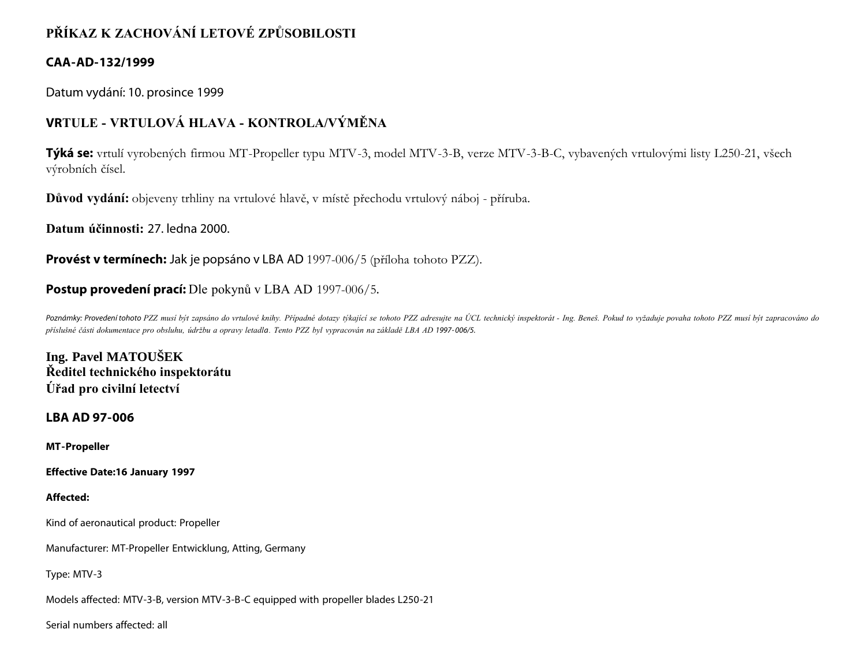# **PŘÍKAZ K ZACHOVÁNÍ LETOVÉ ZPŮSOBILOSTI**

## **CAA-AD-132/1999**

Datum vydání: 10. prosince 1999

# **VRTULE - VRTULOVÁ HLAVA - KONTROLA/VÝMĚNA**

**Týká se:** vrtulí vyrobených firmou MT-Propeller typu MTV-3, model MTV-3-B, verze MTV-3-B-C, vybavených vrtulovými listy L250-21, všech výrobních čísel.

**Důvod vydání:** objeveny trhliny na vrtulové hlavě, v místě přechodu vrtulový náboj - příruba.

**Datum účinnosti:** 27. ledna 2000.

**Provést v termínech:** Jak je popsáno v LBA AD 1997-006/5 (příloha tohoto PZZ).

## **Postup provedení prací:** Dle pokynů v LBA AD 1997-006/5.

Poznámky: Provedení tohoto PZZ musí být zapsáno do vrtulové knihy. Případné dotazy týkající se tohoto PZZ adresujte na ÚCL technický inspektorát - Ing. Beneš. Pokud to vyžaduje povaha tohoto PZZ musí být zapracováno do *příslušné části dokumentace pro obsluhu, údržbu a opravy letadla. Tento PZZ byl vypracován na základě LBA AD 1997- 006/5.*

**Ing. Pavel MATOUŠEK Ředitel technického inspektorátu Úřad pro civilní letectví**

**LBA AD 97-006**

**MT-Propeller**

**Effective Date:16 January 1997**

## **Affected:**

Kind of aeronautical product: Propeller

Manufacturer: MT-Propeller Entwicklung, Atting, Germany

Type: MTV-3

Models affected: MTV-3-B, version MTV-3-B-C equipped with propeller blades L250-21

Serial numbers affected: all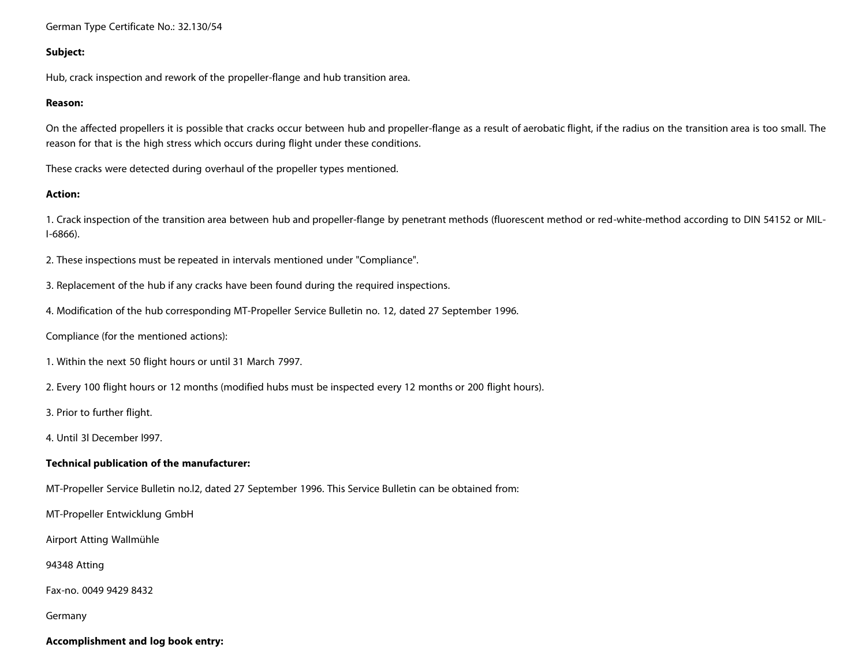#### German Type Certificate No.: 32.130/54

#### **Subject:**

Hub, crack inspection and rework of the propeller-flange and hub transition area.

#### **Reason:**

On the affected propellers it is possible that cracks occur between hub and propeller-flange as a result of aerobatic flight, if the radius on the transition area is too small. The reason for that is the high stress which occurs during flight under these conditions.

These cracks were detected during overhaul of the propeller types mentioned.

## **Action:**

1. Crack inspection of the transition area between hub and propeller-flange by penetrant methods (fluorescent method or red-white-method according to DIN 54152 or MIL-I-6866).

2. These inspections must be repeated in intervals mentioned under "Compliance".

3. Replacement of the hub if any cracks have been found during the required inspections.

4. Modification of the hub corresponding MT-Propeller Service Bulletin no. 12, dated 27 September 1996.

Compliance (for the mentioned actions):

- 1. Within the next 50 flight hours or until 31 March 7997.
- 2. Every 100 flight hours or 12 months (modified hubs must be inspected every 12 months or 200 flight hours).

3. Prior to further flight.

4. Until 3l December l997.

#### **Technical publication of the manufacturer:**

MT-Propeller Service Bulletin no.l2, dated 27 September 1996. This Service Bulletin can be obtained from:

MT-Propeller Entwicklung GmbH

Airport Atting WaIImühle

94348 Atting

Fax-no. 0049 9429 8432

Germany

## **Accomplishment and log book entry:**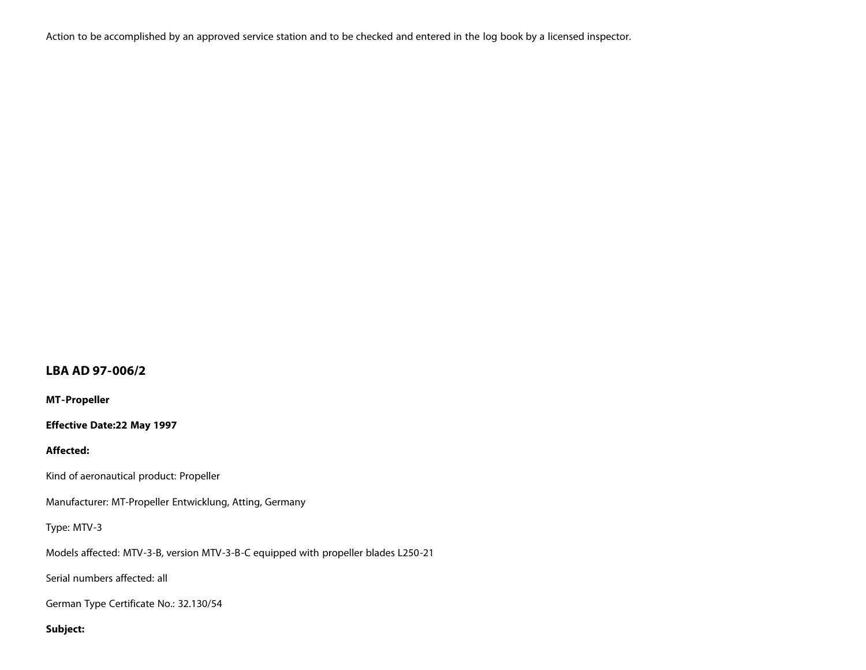Action to be accomplished by an approved service station and to be checked and entered in the log book by a licensed inspector.

## **LBA AD 97-006/2**

**MT-Propeller**

**Effective Date:22 May 1997**

## **Affected:**

Kind of aeronautical product: Propeller

Manufacturer: MT-Propeller Entwicklung, Atting, Germany

## Type: MTV-3

Models affected: MTV-3-B, version MTV-3-B-C equipped with propeller blades L250-21

Serial numbers affected: all

German Type Certificate No.: 32.130/54

## **Subject:**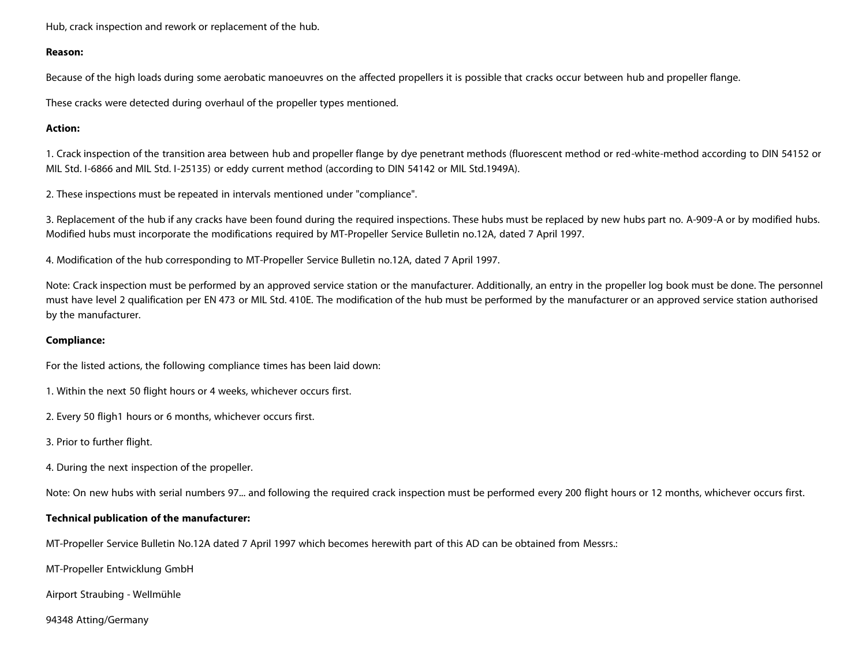Hub, crack inspection and rework or replacement of the hub.

## **Reason:**

Because of the high loads during some aerobatic manoeuvres on the affected propellers it is possible that cracks occur between hub and propeller flange.

These cracks were detected during overhaul of the propeller types mentioned.

## **Action:**

1. Crack inspection of the transition area between hub and propeller flange by dye penetrant methods (fluorescent method or red-white-method according to DIN 54152 or MIL Std. I-6866 and MIL Std. I-25135) or eddy current method (according to DIN 54142 or MIL Std.1949A).

2. These inspections must be repeated in intervals mentioned under "compliance".

3. Replacement of the hub if any cracks have been found during the required inspections. These hubs must be replaced by new hubs part no. A-909-A or by modified hubs. Modified hubs must incorporate the modifications required by MT-Propeller Service Bulletin no.12A, dated 7 April 1997.

4. Modification of the hub corresponding to MT-Propeller Service Bulletin no.12A, dated 7 April 1997.

Note: Crack inspection must be performed by an approved service station or the manufacturer. Additionally, an entry in the propeller log book must be done. The personnel must have level 2 qualification per EN 473 or MIL Std. 410E. The modification of the hub must be performed by the manufacturer or an approved service station authorised by the manufacturer.

## **Compliance:**

For the listed actions, the following compliance times has been laid down:

- 1. Within the next 50 flight hours or 4 weeks, whichever occurs first.
- 2. Every 50 fligh1 hours or 6 months, whichever occurs first.
- 3. Prior to further flight.
- 4. During the next inspection of the propeller.

Note: On new hubs with serial numbers 97... and following the required crack inspection must be performed every 200 flight hours or 12 months, whichever occurs first.

## **Technical publication of the manufacturer:**

MT-Propeller Service Bulletin No.12A dated 7 April 1997 which becomes herewith part of this AD can be obtained from Messrs.:

MT-Propeller Entwicklung GmbH

Airport Straubing - WeIImühle

94348 Atting/Germany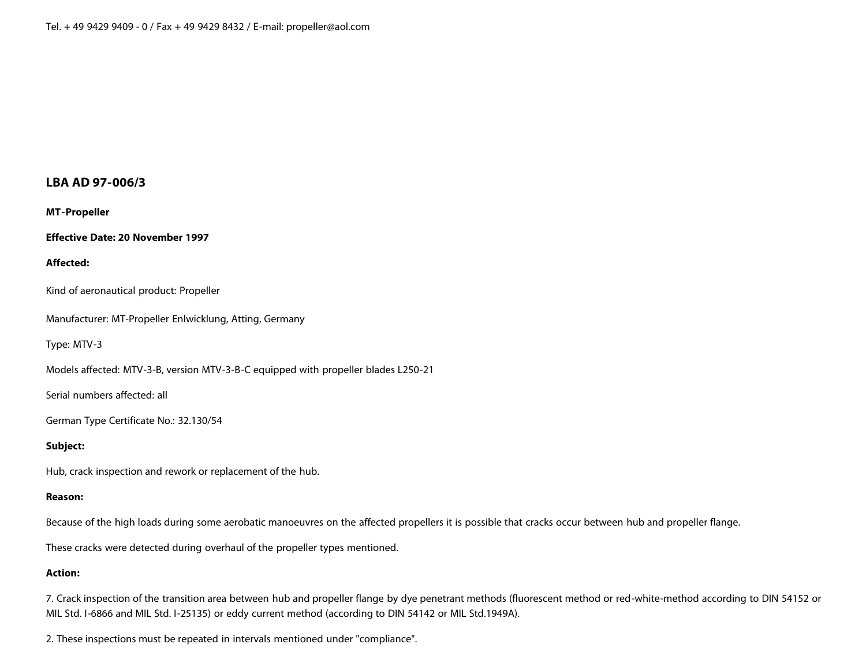## **LBA AD 97-006/3**

**MT-Propeller**

**Effective Date: 20 November 1997**

#### **Affected:**

Kind of aeronautical product: Propeller

Manufacturer: MT-Propeller Enlwicklung, Atting, Germany

Type: MTV-3

Models affected: MTV-3-B, version MTV-3-B-C equipped with propeller blades L250-21

Serial numbers affected: all

German Type Certificate No.: 32.130/54

## **Subject:**

Hub, crack inspection and rework or replacement of the hub.

## **Reason:**

Because of the high loads during some aerobatic manoeuvres on the affected propellers it is possible that cracks occur between hub and propeller flange.

These cracks were detected during overhaul of the propeller types mentioned.

## **Action:**

7. Crack inspection of the transition area between hub and propeller flange by dye penetrant methods (fluorescent method or red-white-method according to DIN 54152 or MIL Std. I-6866 and MIL Std. I-25135) or eddy current method (according to DIN 54142 or MIL Std.1949A).

2. These inspections must be repeated in intervals mentioned under "compliance".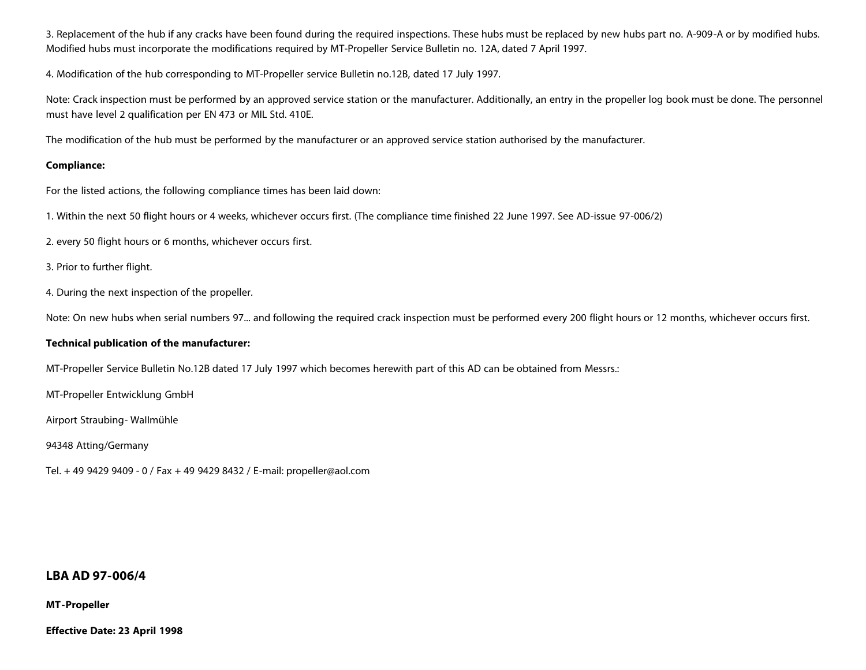3. Replacement of the hub if any cracks have been found during the required inspections. These hubs must be replaced by new hubs part no. A-909-A or by modified hubs. Modified hubs must incorporate the modifications required by MT-Propeller Service Bulletin no. 12A, dated 7 April 1997.

4. Modification of the hub corresponding to MT-Propeller service Bulletin no.12B, dated 17 July 1997.

Note: Crack inspection must be performed by an approved service station or the manufacturer. Additionally, an entry in the propeller log book must be done. The personnel must have level 2 qualification per EN 473 or MIL Std. 410E.

The modification of the hub must be performed by the manufacturer or an approved service station authorised by the manufacturer.

## **Compliance:**

For the listed actions, the following compliance times has been laid down:

1. Within the next 50 flight hours or 4 weeks, whichever occurs first. (The compliance time finished 22 June 1997. See AD-issue 97-006/2)

2. every 50 flight hours or 6 months, whichever occurs first.

- 3. Prior to further flight.
- 4. During the next inspection of the propeller.

Note: On new hubs when serial numbers 97... and following the required crack inspection must be performed every 200 flight hours or 12 months, whichever occurs first.

#### **Technical publication of the manufacturer:**

MT-Propeller Service Bulletin No.12B dated 17 July 1997 which becomes herewith part of this AD can be obtained from Messrs.:

MT-Propeller Entwicklung GmbH

Airport Straubing- WaIImühle

94348 Atting/Germany

Tel. + 49 9429 9409 - 0 / Fax + 49 9429 8432 / E-mail: propeller@aol.com

## **LBA AD 97-006/4**

#### **MT-Propeller**

**Effective Date: 23 April 1998**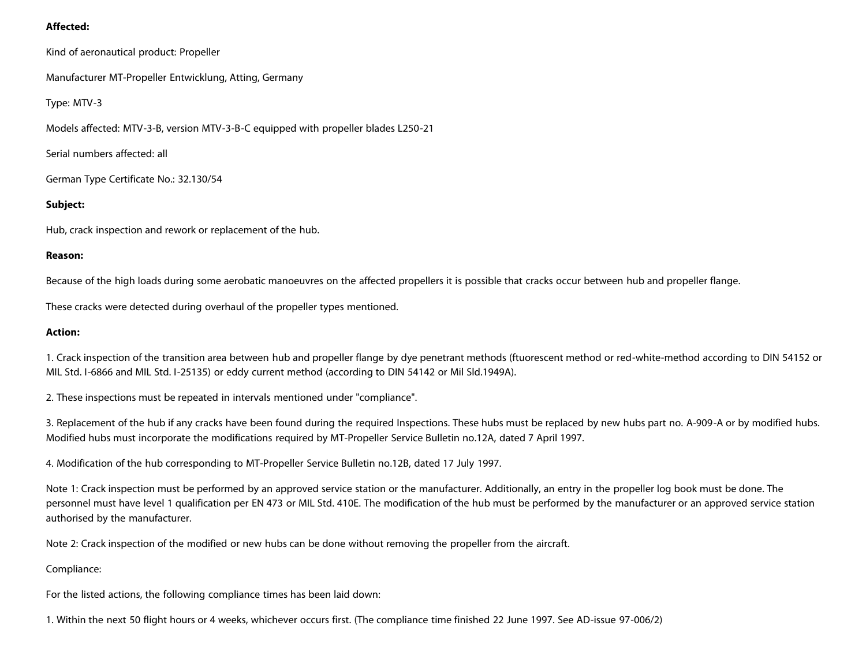## **Affected:**

Kind of aeronautical product: Propeller

Manufacturer MT-Propeller Entwicklung, Atting, Germany

Type: MTV-3

Models affected: MTV-3-B, version MTV-3-B-C equipped with propeller blades L250-21

Serial numbers affected: all

German Type Certificate No.: 32.130/54

## **Subject:**

Hub, crack inspection and rework or replacement of the hub.

#### **Reason:**

Because of the high loads during some aerobatic manoeuvres on the affected propellers it is possible that cracks occur between hub and propeller flange.

These cracks were detected during overhaul of the propeller types mentioned.

#### **Action:**

1. Crack inspection of the transition area between hub and propeller flange by dye penetrant methods (ftuorescent method or red-white-method according to DIN 54152 or MIL Std. I-6866 and MIL Std. I-25135) or eddy current method (according to DIN 54142 or Mil Sld.1949A).

2. These inspections must be repeated in intervals mentioned under "compliance".

3. Replacement of the hub if any cracks have been found during the required Inspections. These hubs must be replaced by new hubs part no. A-909-A or by modified hubs. Modified hubs must incorporate the modifications required by MT-Propeller Service Bulletin no.12A, dated 7 April 1997.

4. Modification of the hub corresponding to MT-Propeller Service Bulletin no.12B, dated 17 July 1997.

Note 1: Crack inspection must be performed by an approved service station or the manufacturer. Additionally, an entry in the propeller log book must be done. The personnel must have level 1 qualification per EN 473 or MIL Std. 410E. The modification of the hub must be performed by the manufacturer or an approved service station authorised by the manufacturer.

Note 2: Crack inspection of the modified or new hubs can be done without removing the propeller from the aircraft.

## Compliance:

For the listed actions, the following compliance times has been laid down:

1. Within the next 50 flight hours or 4 weeks, whichever occurs first. (The compliance time finished 22 June 1997. See AD-issue 97-006/2)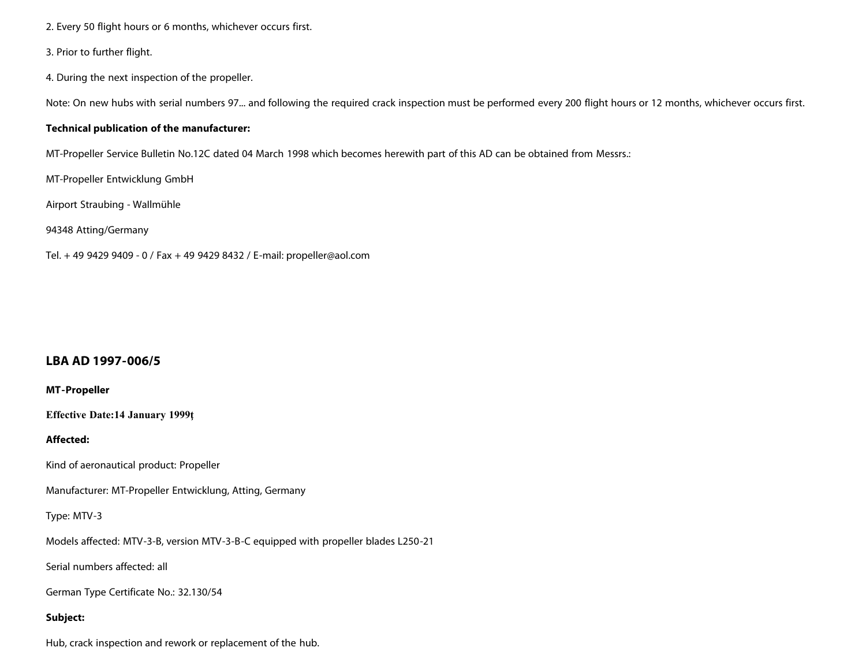- 2. Every 50 flight hours or 6 months, whichever occurs first.
- 3. Prior to further flight.
- 4. During the next inspection of the propeller.

Note: On new hubs with serial numbers 97... and following the required crack inspection must be performed every 200 flight hours or 12 months, whichever occurs first.

#### **Technical publication of the manufacturer:**

MT-Propeller Service Bulletin No.12C dated 04 March 1998 which becomes herewith part of this AD can be obtained from Messrs.:

MT-Propeller Entwicklung GmbH

Airport Straubing - WaIlmühle

94348 Atting/Germany

Tel. + 49 9429 9409 - 0 / Fax + 49 9429 8432 / E-mail: propeller@aol.com

## **LBA AD 1997-006/5**

## **MT-Propeller**

**Effective Date:14 January 1999ţ**

## **Affected:**

Kind of aeronautical product: Propeller

Manufacturer: MT-Propeller Entwicklung, Atting, Germany

Type: MTV-3

Models affected: MTV-3-B, version MTV-3-B-C equipped with propeller blades L250-21

Serial numbers affected: all

German Type Certificate No.: 32.130/54

## **Subject:**

Hub, crack inspection and rework or replacement of the hub.